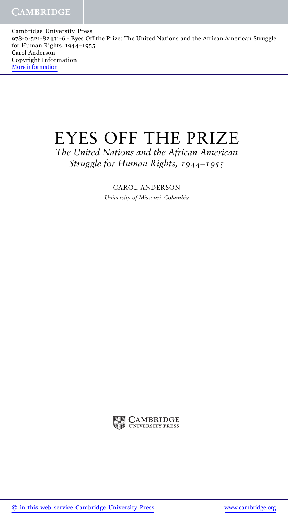Cambridge University Press 978-0-521-82431-6 - Eyes Off the Prize: The United Nations and the African American Struggle for Human Rights, 1944–1955 Carol Anderson Copyright Information More information

## EYES OFF THE PRIZE

*The United Nations and the African American Struggle for Human Rights, 1944–1955*

> CAROL ANDERSON *University of Missouri–Columbia*